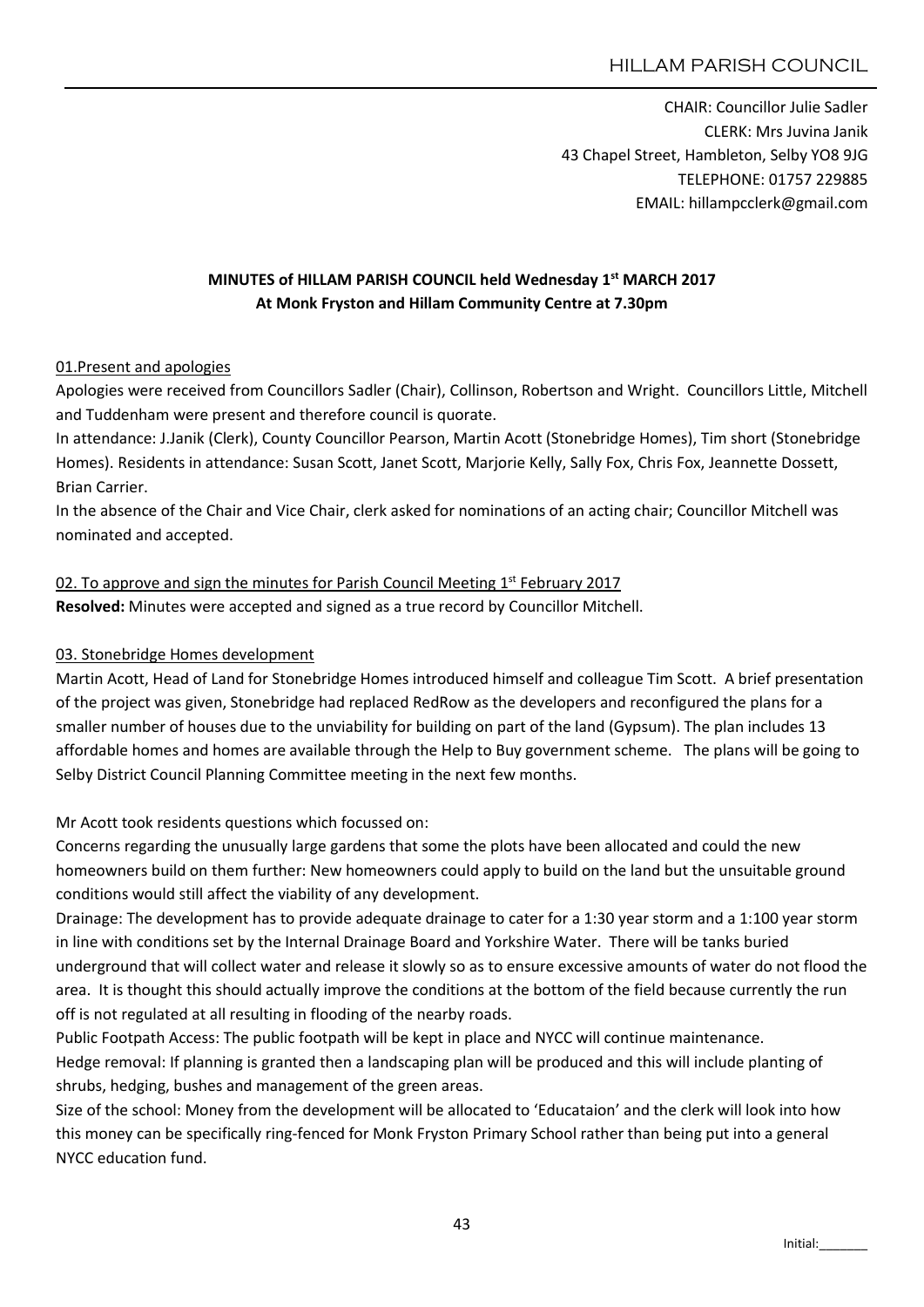CHAIR: Councillor Julie Sadler CLERK: Mrs Juvina Janik 43 Chapel Street, Hambleton, Selby YO8 9JG TELEPHONE: 01757 229885 EMAIL: hillampcclerk@gmail.com

## MINUTES of HILLAM PARISH COUNCIL held Wednesday 1<sup>st</sup> MARCH 2017 At Monk Fryston and Hillam Community Centre at 7.30pm

#### 01.Present and apologies

Apologies were received from Councillors Sadler (Chair), Collinson, Robertson and Wright. Councillors Little, Mitchell and Tuddenham were present and therefore council is quorate.

In attendance: J.Janik (Clerk), County Councillor Pearson, Martin Acott (Stonebridge Homes), Tim short (Stonebridge Homes). Residents in attendance: Susan Scott, Janet Scott, Marjorie Kelly, Sally Fox, Chris Fox, Jeannette Dossett, Brian Carrier.

In the absence of the Chair and Vice Chair, clerk asked for nominations of an acting chair; Councillor Mitchell was nominated and accepted.

# 02. To approve and sign the minutes for Parish Council Meeting  $1<sup>st</sup>$  February 2017

Resolved: Minutes were accepted and signed as a true record by Councillor Mitchell.

## 03. Stonebridge Homes development

Martin Acott, Head of Land for Stonebridge Homes introduced himself and colleague Tim Scott. A brief presentation of the project was given, Stonebridge had replaced RedRow as the developers and reconfigured the plans for a smaller number of houses due to the unviability for building on part of the land (Gypsum). The plan includes 13 affordable homes and homes are available through the Help to Buy government scheme. The plans will be going to Selby District Council Planning Committee meeting in the next few months.

Mr Acott took residents questions which focussed on:

Concerns regarding the unusually large gardens that some the plots have been allocated and could the new homeowners build on them further: New homeowners could apply to build on the land but the unsuitable ground conditions would still affect the viability of any development.

Drainage: The development has to provide adequate drainage to cater for a 1:30 year storm and a 1:100 year storm in line with conditions set by the Internal Drainage Board and Yorkshire Water. There will be tanks buried underground that will collect water and release it slowly so as to ensure excessive amounts of water do not flood the area. It is thought this should actually improve the conditions at the bottom of the field because currently the run off is not regulated at all resulting in flooding of the nearby roads.

Public Footpath Access: The public footpath will be kept in place and NYCC will continue maintenance. Hedge removal: If planning is granted then a landscaping plan will be produced and this will include planting of shrubs, hedging, bushes and management of the green areas.

Size of the school: Money from the development will be allocated to 'Educataion' and the clerk will look into how this money can be specifically ring-fenced for Monk Fryston Primary School rather than being put into a general NYCC education fund.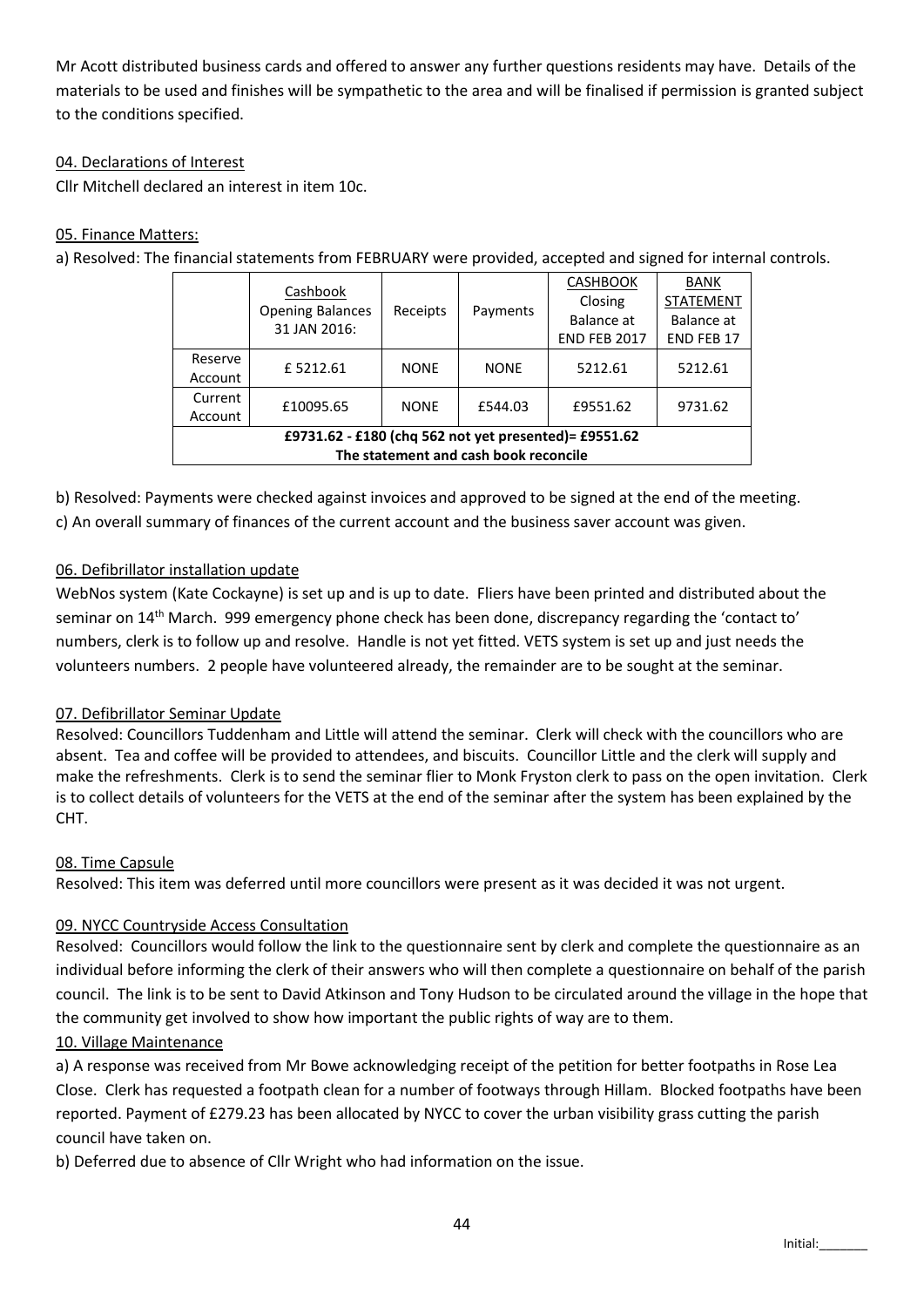Mr Acott distributed business cards and offered to answer any further questions residents may have. Details of the materials to be used and finishes will be sympathetic to the area and will be finalised if permission is granted subject to the conditions specified.

## 04. Declarations of Interest

Cllr Mitchell declared an interest in item 10c.

#### 05. Finance Matters:

a) Resolved: The financial statements from FEBRUARY were provided, accepted and signed for internal controls.

|                                                       | Cashbook<br><b>Opening Balances</b><br>31 JAN 2016: | Receipts    | Payments    | <b>CASHBOOK</b>     | <b>BANK</b>       |
|-------------------------------------------------------|-----------------------------------------------------|-------------|-------------|---------------------|-------------------|
|                                                       |                                                     |             |             | Closing             | <b>STATEMENT</b>  |
|                                                       |                                                     |             |             | Balance at          | Balance at        |
|                                                       |                                                     |             |             | <b>END FEB 2017</b> | <b>END FEB 17</b> |
| Reserve                                               | £5212.61                                            | <b>NONE</b> | <b>NONE</b> | 5212.61             | 5212.61           |
| Account                                               |                                                     |             |             |                     |                   |
| Current                                               | £10095.65                                           | <b>NONE</b> | £544.03     | £9551.62            | 9731.62           |
| Account                                               |                                                     |             |             |                     |                   |
| £9731.62 - £180 (chq 562 not yet presented)= £9551.62 |                                                     |             |             |                     |                   |
| The statement and cash book reconcile                 |                                                     |             |             |                     |                   |

b) Resolved: Payments were checked against invoices and approved to be signed at the end of the meeting. c) An overall summary of finances of the current account and the business saver account was given.

### 06. Defibrillator installation update

WebNos system (Kate Cockayne) is set up and is up to date. Fliers have been printed and distributed about the seminar on 14th March. 999 emergency phone check has been done, discrepancy regarding the 'contact to' numbers, clerk is to follow up and resolve. Handle is not yet fitted. VETS system is set up and just needs the volunteers numbers. 2 people have volunteered already, the remainder are to be sought at the seminar.

#### 07. Defibrillator Seminar Update

Resolved: Councillors Tuddenham and Little will attend the seminar. Clerk will check with the councillors who are absent. Tea and coffee will be provided to attendees, and biscuits. Councillor Little and the clerk will supply and make the refreshments. Clerk is to send the seminar flier to Monk Fryston clerk to pass on the open invitation. Clerk is to collect details of volunteers for the VETS at the end of the seminar after the system has been explained by the CHT.

#### 08. Time Capsule

Resolved: This item was deferred until more councillors were present as it was decided it was not urgent.

#### 09. NYCC Countryside Access Consultation

Resolved: Councillors would follow the link to the questionnaire sent by clerk and complete the questionnaire as an individual before informing the clerk of their answers who will then complete a questionnaire on behalf of the parish council. The link is to be sent to David Atkinson and Tony Hudson to be circulated around the village in the hope that the community get involved to show how important the public rights of way are to them.

#### 10. Village Maintenance

a) A response was received from Mr Bowe acknowledging receipt of the petition for better footpaths in Rose Lea Close. Clerk has requested a footpath clean for a number of footways through Hillam. Blocked footpaths have been reported. Payment of £279.23 has been allocated by NYCC to cover the urban visibility grass cutting the parish council have taken on.

b) Deferred due to absence of Cllr Wright who had information on the issue.